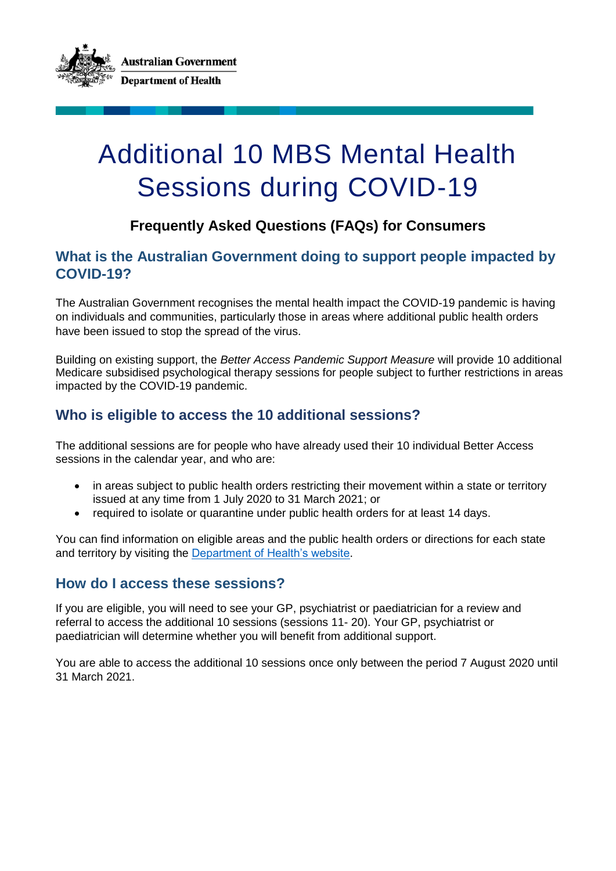

# Additional 10 MBS Mental Health Sessions during COVID-19

# **Frequently Asked Questions (FAQs) for Consumers**

## **What is the Australian Government doing to support people impacted by COVID-19?**

The Australian Government recognises the mental health impact the COVID-19 pandemic is having on individuals and communities, particularly those in areas where additional public health orders have been issued to stop the spread of the virus.

Building on existing support, the *Better Access Pandemic Support Measure* will provide 10 additional Medicare subsidised psychological therapy sessions for people subject to further restrictions in areas impacted by the COVID-19 pandemic.

# **Who is eligible to access the 10 additional sessions?**

The additional sessions are for people who have already used their 10 individual Better Access sessions in the calendar year, and who are:

- in areas subject to public health orders restricting their movement within a state or territory issued at any time from 1 July 2020 to 31 March 2021; or
- required to isolate or quarantine under public health orders for at least 14 days.

You can find information on eligible areas and the public health orders or directions for each state and territory by visiting the [Department of Health's website.](https://www.health.gov.au/news/health-alerts/novel-coronavirus-2019-ncov-health-alert/ongoing-support-during-coronavirus-covid-19/looking-after-your-mental-health-during-coronavirus-covid-19-restrictions#mental-health-support)

#### **How do I access these sessions?**

If you are eligible, you will need to see your GP, psychiatrist or paediatrician for a review and referral to access the additional 10 sessions (sessions 11- 20). Your GP, psychiatrist or paediatrician will determine whether you will benefit from additional support.

You are able to access the additional 10 sessions once only between the period 7 August 2020 until 31 March 2021.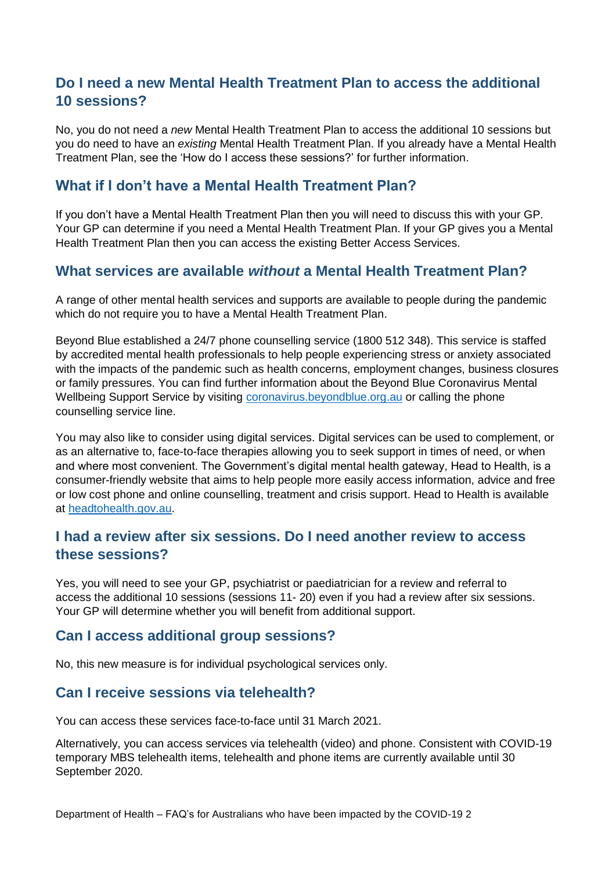# **Do I need a new Mental Health Treatment Plan to access the additional 10 sessions?**

No, you do not need a *new* Mental Health Treatment Plan to access the additional 10 sessions but you do need to have an *existing* Mental Health Treatment Plan. If you already have a Mental Health Treatment Plan, see the 'How do I access these sessions?' for further information.

## **What if I don't have a Mental Health Treatment Plan?**

If you don't have a Mental Health Treatment Plan then you will need to discuss this with your GP. Your GP can determine if you need a Mental Health Treatment Plan. If your GP gives you a Mental Health Treatment Plan then you can access the existing Better Access Services.

#### **What services are available** *without* **a Mental Health Treatment Plan?**

A range of other mental health services and supports are available to people during the pandemic which do not require you to have a Mental Health Treatment Plan.

Beyond Blue established a 24/7 phone counselling service (1800 512 348). This service is staffed by accredited mental health professionals to help people experiencing stress or anxiety associated with the impacts of the pandemic such as health concerns, employment changes, business closures or family pressures. You can find further information about the Beyond Blue Coronavirus Mental Wellbeing Support Service by visiting [coronavirus.beyondblue.org.au](https://coronavirus.beyondblue.org.au/) or calling the phone counselling service line.

You may also like to consider using digital services. Digital services can be used to complement, or as an alternative to, face-to-face therapies allowing you to seek support in times of need, or when and where most convenient. The Government's digital mental health gateway, Head to Health, is a consumer-friendly website that aims to help people more easily access information, advice and free or low cost phone and online counselling, treatment and crisis support. Head to Health is available at [headtohealth.gov.au.](https://headtohealth.gov.au/)

## **I had a review after six sessions. Do I need another review to access these sessions?**

Yes, you will need to see your GP, psychiatrist or paediatrician for a review and referral to access the additional 10 sessions (sessions 11- 20) even if you had a review after six sessions. Your GP will determine whether you will benefit from additional support.

#### **Can I access additional group sessions?**

No, this new measure is for individual psychological services only.

#### **Can I receive sessions via telehealth?**

You can access these services face-to-face until 31 March 2021.

Alternatively, you can access services via telehealth (video) and phone. Consistent with COVID-19 temporary MBS telehealth items, telehealth and phone items are currently available until 30 September 2020.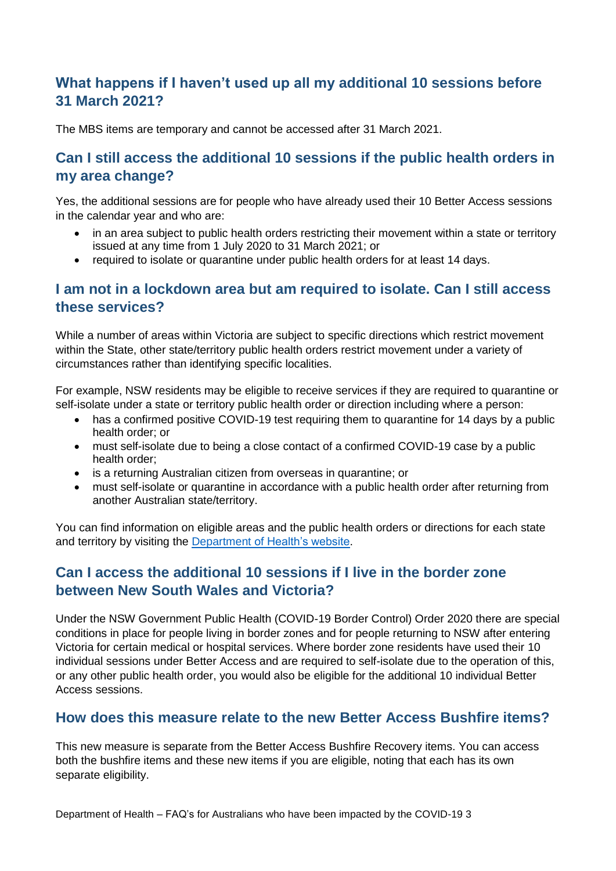# **What happens if I haven't used up all my additional 10 sessions before 31 March 2021?**

The MBS items are temporary and cannot be accessed after 31 March 2021.

## **Can I still access the additional 10 sessions if the public health orders in my area change?**

Yes, the additional sessions are for people who have already used their 10 Better Access sessions in the calendar year and who are:

- in an area subject to public health orders restricting their movement within a state or territory issued at any time from 1 July 2020 to 31 March 2021; or
- required to isolate or quarantine under public health orders for at least 14 days.

#### **I am not in a lockdown area but am required to isolate. Can I still access these services?**

While a number of areas within Victoria are subject to specific directions which restrict movement within the State, other state/territory public health orders restrict movement under a variety of circumstances rather than identifying specific localities.

For example, NSW residents may be eligible to receive services if they are required to quarantine or self-isolate under a state or territory public health order or direction including where a person:

- has a confirmed positive COVID-19 test requiring them to quarantine for 14 days by a public health order; or
- must self-isolate due to being a close contact of a confirmed COVID-19 case by a public health order;
- is a returning Australian citizen from overseas in quarantine; or
- must self-isolate or quarantine in accordance with a public health order after returning from another Australian state/territory.

You can find information on eligible areas and the public health orders or directions for each state and territory by visiting the [Department of Health's website.](https://www.health.gov.au/news/health-alerts/novel-coronavirus-2019-ncov-health-alert/ongoing-support-during-coronavirus-covid-19/looking-after-your-mental-health-during-coronavirus-covid-19-restrictions#mental-health-support)

# **Can I access the additional 10 sessions if I live in the border zone between New South Wales and Victoria?**

Under the NSW Government Public Health (COVID-19 Border Control) Order 2020 there are special conditions in place for people living in border zones and for people returning to NSW after entering Victoria for certain medical or hospital services. Where border zone residents have used their 10 individual sessions under Better Access and are required to self-isolate due to the operation of this, or any other public health order, you would also be eligible for the additional 10 individual Better Access sessions.

#### **How does this measure relate to the new Better Access Bushfire items?**

This new measure is separate from the Better Access Bushfire Recovery items. You can access both the bushfire items and these new items if you are eligible, noting that each has its own separate eligibility.